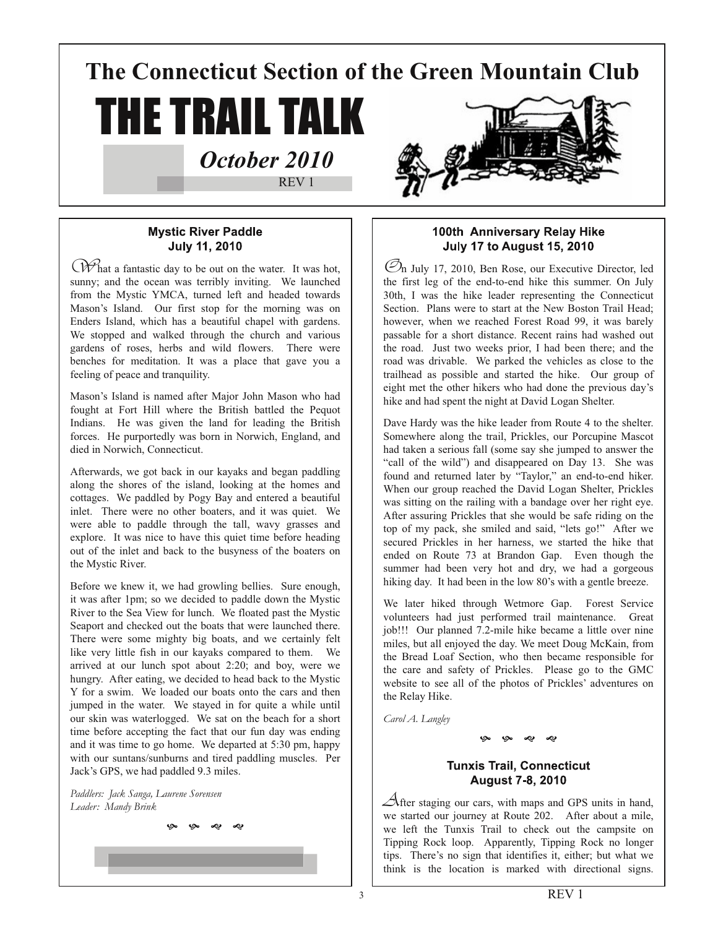**The Connecticut Section of the Green Mountain Club**

THE TRAIL TALK

*October 2010*

REV 1

# **Mystic River Paddle July 11, 2010**

What a fantastic day to be out on the water. It was hot, sunny; and the ocean was terribly inviting. We launched from the Mystic YMCA, turned left and headed towards Mason's Island. Our first stop for the morning was on Enders Island, which has a beautiful chapel with gardens. We stopped and walked through the church and various gardens of roses, herbs and wild flowers. There were benches for meditation. It was a place that gave you a feeling of peace and tranquility.

Mason's Island is named after Major John Mason who had fought at Fort Hill where the British battled the Pequot Indians. He was given the land for leading the British forces. He purportedly was born in Norwich, England, and died in Norwich, Connecticut.

Afterwards, we got back in our kayaks and began paddling along the shores of the island, looking at the homes and cottages. We paddled by Pogy Bay and entered a beautiful inlet. There were no other boaters, and it was quiet. We were able to paddle through the tall, wavy grasses and explore. It was nice to have this quiet time before heading out of the inlet and back to the busyness of the boaters on the Mystic River.

Before we knew it, we had growling bellies. Sure enough, it was after 1pm; so we decided to paddle down the Mystic River to the Sea View for lunch. We floated past the Mystic Seaport and checked out the boats that were launched there. There were some mighty big boats, and we certainly felt like very little fish in our kayaks compared to them. We arrived at our lunch spot about 2:20; and boy, were we hungry. After eating, we decided to head back to the Mystic Y for a swim. We loaded our boats onto the cars and then jumped in the water. We stayed in for quite a while until our skin was waterlogged. We sat on the beach for a short time before accepting the fact that our fun day was ending and it was time to go home. We departed at 5:30 pm, happy with our suntans/sunburns and tired paddling muscles. Per Jack's GPS, we had paddled 9.3 miles.

په په دې دې

*Paddlers: Jack Sanga, Laurene Sorensen Leader: Mandy Brink*



 $\mathcal{O}_n$  July 17, 2010, Ben Rose, our Executive Director, led the first leg of the end-to-end hike this summer. On July 30th, I was the hike leader representing the Connecticut Section. Plans were to start at the New Boston Trail Head; however, when we reached Forest Road 99, it was barely passable for a short distance. Recent rains had washed out the road. Just two weeks prior, I had been there; and the road was drivable. We parked the vehicles as close to the trailhead as possible and started the hike. Our group of eight met the other hikers who had done the previous day's hike and had spent the night at David Logan Shelter.

Dave Hardy was the hike leader from Route 4 to the shelter. Somewhere along the trail, Prickles, our Porcupine Mascot had taken a serious fall (some say she jumped to answer the "call of the wild") and disappeared on Day 13. She was found and returned later by "Taylor," an end-to-end hiker. When our group reached the David Logan Shelter, Prickles was sitting on the railing with a bandage over her right eye. After assuring Prickles that she would be safe riding on the top of my pack, she smiled and said, "lets go!" After we secured Prickles in her harness, we started the hike that ended on Route 73 at Brandon Gap. Even though the summer had been very hot and dry, we had a gorgeous hiking day. It had been in the low 80's with a gentle breeze.

We later hiked through Wetmore Gap. Forest Service volunteers had just performed trail maintenance. Great job!!! Our planned 7.2-mile hike became a little over nine miles, but all enjoyed the day. We meet Doug McKain, from the Bread Loaf Section, who then became responsible for the care and safety of Prickles. Please go to the GMC website to see all of the photos of Prickles' adventures on the Relay Hike.

*Carol A. Langley* 

ලං ලං ~ා ~ා

### **Tunxis Trail, Connecticut August 7-8, 2010**

 $\triangle$ fter staging our cars, with maps and GPS units in hand, we started our journey at Route 202. After about a mile, we left the Tunxis Trail to check out the campsite on Tipping Rock loop. Apparently, Tipping Rock no longer tips. There's no sign that identifies it, either; but what we think is the location is marked with directional signs.

REV 1

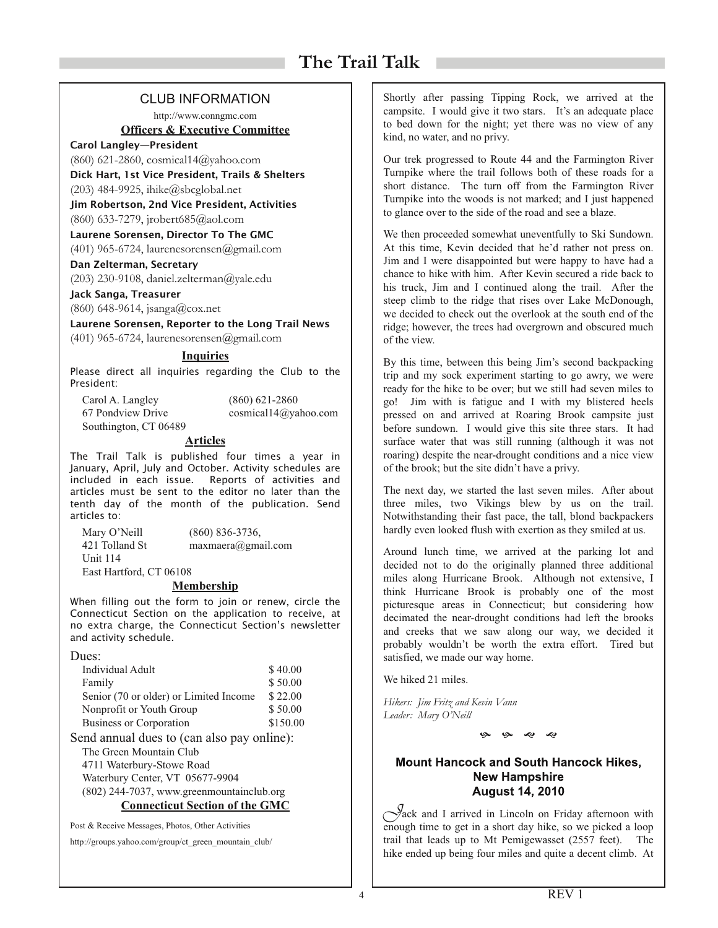### CLUB INFORMATION

http://www.conngmc.com

#### **Officers & Executive Committee**

#### Carol Langley—President

(860) 621-2860, cosmical14@yahoo.com Dick Hart, 1st Vice President, Trails & Shelters

(203) 484-9925, ihike@sbcglobal.net

Jim Robertson, 2nd Vice President, Activities

(860) 633-7279, jrobert685@aol.com

Laurene Sorensen, Director To The GMC

(401) 965-6724, laurenesorensen@gmail.com

#### Dan Zelterman, Secretary

(203) 230-9108, daniel.zelterman@yale.edu

#### Jack Sanga, Treasurer

(860) 648-9614, jsanga@cox.net

Laurene Sorensen, Reporter to the Long Trail News (401) 965-6724, laurenesorensen@gmail.com

#### **Inquiries**

Please direct all inquiries regarding the Club to the President:

| Carol A. Langley      | $(860)$ 621-2860     |
|-----------------------|----------------------|
| 67 Pondview Drive     | cosmical14@yahoo.com |
| Southington, CT 06489 |                      |

#### **Articles**

The Trail Talk is published four times a year in January, April, July and October. Activity schedules are included in each issue. Reports of activities and articles must be sent to the editor no later than the tenth day of the month of the publication. Send articles to:

| Mary O'Neill            | $(860)$ 836-3736,            |  |
|-------------------------|------------------------------|--|
| 421 Tolland St          | $maxmaera(\theta)$ gmail.com |  |
| <b>Unit 114</b>         |                              |  |
| East Hartford, CT 06108 |                              |  |

#### **Membership**

When filling out the form to join or renew, circle the Connecticut Section on the application to receive, at no extra charge, the Connecticut Section's newsletter and activity schedule.

| Individual Adult                                     | \$40.00  |  |
|------------------------------------------------------|----------|--|
| Family                                               | \$50.00  |  |
| Senior (70 or older) or Limited Income               | \$22.00  |  |
| Nonprofit or Youth Group                             | \$50.00  |  |
| Business or Corporation                              | \$150.00 |  |
| $\epsilon$ and annual dues to (can also nay online). |          |  |

Send annual dues to (can also pay online):

The Green Mountain Club 4711 Waterbury-Stowe Road Waterbury Center, VT 05677-9904

(802) 244-7037, www.greenmountainclub.org

**Connecticut Section of the GMC**

Post & Receive Messages, Photos, Other Activities

http://groups.yahoo.com/group/ct\_green\_mountain\_club/

Shortly after passing Tipping Rock, we arrived at the campsite. I would give it two stars. It's an adequate place to bed down for the night; yet there was no view of any kind, no water, and no privy.

Our trek progressed to Route 44 and the Farmington River Turnpike where the trail follows both of these roads for a short distance. The turn off from the Farmington River Turnpike into the woods is not marked; and I just happened to glance over to the side of the road and see a blaze.

We then proceeded somewhat uneventfully to Ski Sundown. At this time, Kevin decided that he'd rather not press on. Jim and I were disappointed but were happy to have had a chance to hike with him. After Kevin secured a ride back to his truck, Jim and I continued along the trail. After the steep climb to the ridge that rises over Lake McDonough, we decided to check out the overlook at the south end of the ridge; however, the trees had overgrown and obscured much of the view.

By this time, between this being Jim's second backpacking trip and my sock experiment starting to go awry, we were ready for the hike to be over; but we still had seven miles to go! Jim with is fatigue and I with my blistered heels pressed on and arrived at Roaring Brook campsite just before sundown. I would give this site three stars. It had surface water that was still running (although it was not roaring) despite the near-drought conditions and a nice view of the brook; but the site didn't have a privy.

The next day, we started the last seven miles. After about three miles, two Vikings blew by us on the trail. Notwithstanding their fast pace, the tall, blond backpackers hardly even looked flush with exertion as they smiled at us.

Around lunch time, we arrived at the parking lot and decided not to do the originally planned three additional miles along Hurricane Brook. Although not extensive, I think Hurricane Brook is probably one of the most picturesque areas in Connecticut; but considering how decimated the near-drought conditions had left the brooks and creeks that we saw along our way, we decided it probably wouldn't be worth the extra effort. Tired but satisfied, we made our way home.

We hiked 21 miles.

*Hikers: Jim Fritz and Kevin Vann Leader: Mary O'Neill*

ලං ලං ~ා ~ා

### **Mount Hancock and South Hancock Hikes. New Hampshire August 14, 2010**

 $\int$ ack and I arrived in Lincoln on Friday afternoon with enough time to get in a short day hike, so we picked a loop trail that leads up to Mt Pemigewasset (2557 feet). The hike ended up being four miles and quite a decent climb. At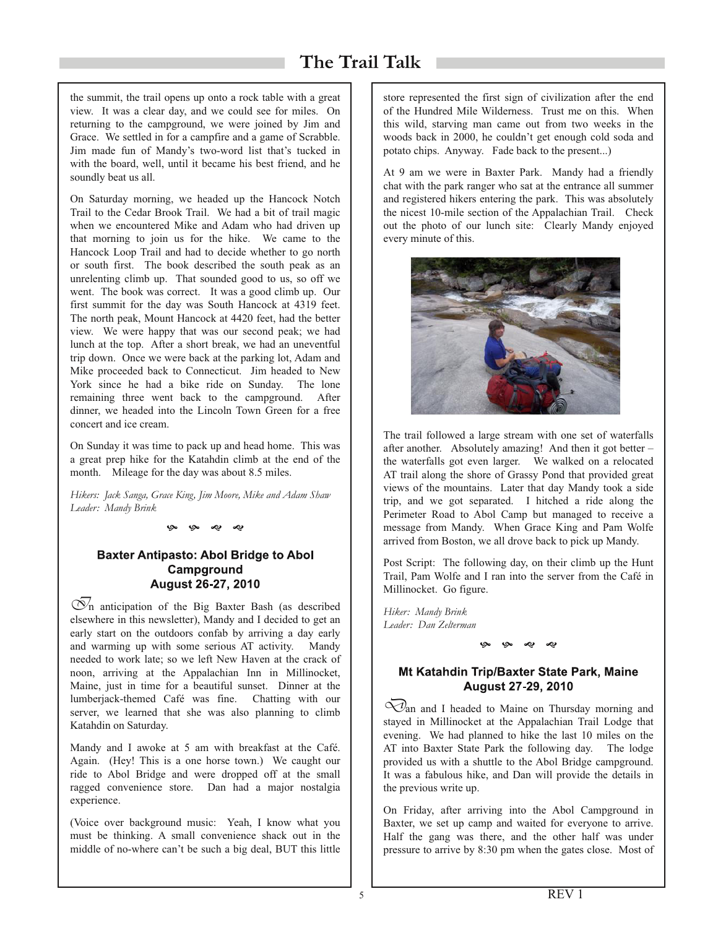the summit, the trail opens up onto a rock table with a great view. It was a clear day, and we could see for miles. On returning to the campground, we were joined by Jim and Grace. We settled in for a campfire and a game of Scrabble. Jim made fun of Mandy's two-word list that's tucked in with the board, well, until it became his best friend, and he soundly beat us all.

On Saturday morning, we headed up the Hancock Notch Trail to the Cedar Brook Trail. We had a bit of trail magic when we encountered Mike and Adam who had driven up that morning to join us for the hike. We came to the Hancock Loop Trail and had to decide whether to go north or south first. The book described the south peak as an unrelenting climb up. That sounded good to us, so off we went. The book was correct. It was a good climb up. Our first summit for the day was South Hancock at 4319 feet. The north peak, Mount Hancock at 4420 feet, had the better view. We were happy that was our second peak; we had lunch at the top. After a short break, we had an uneventful trip down. Once we were back at the parking lot, Adam and Mike proceeded back to Connecticut. Jim headed to New York since he had a bike ride on Sunday. The lone remaining three went back to the campground. After dinner, we headed into the Lincoln Town Green for a free concert and ice cream.

On Sunday it was time to pack up and head home. This was a great prep hike for the Katahdin climb at the end of the month. Mileage for the day was about 8.5 miles.

*Hikers: Jack Sanga, Grace King, Jim Moore, Mike and Adam Shaw Leader: Mandy Brink*

≁

### **Baxter Antipasto: Abol Bridge to Abol** Campground August 26-27, 2010

 $\overline{\mathcal{O}}_n$  anticipation of the Big Baxter Bash (as described elsewhere in this newsletter), Mandy and I decided to get an early start on the outdoors confab by arriving a day early and warming up with some serious AT activity. Mandy needed to work late; so we left New Haven at the crack of noon, arriving at the Appalachian Inn in Millinocket, Maine, just in time for a beautiful sunset. Dinner at the lumberjack-themed Café was fine. Chatting with our server, we learned that she was also planning to climb Katahdin on Saturday.

Mandy and I awoke at 5 am with breakfast at the Café. Again. (Hey! This is a one horse town.) We caught our ride to Abol Bridge and were dropped off at the small ragged convenience store. Dan had a major nostalgia experience.

(Voice over background music: Yeah, I know what you must be thinking. A small convenience shack out in the middle of no-where can't be such a big deal, BUT this little

store represented the first sign of civilization after the end of the Hundred Mile Wilderness. Trust me on this. When this wild, starving man came out from two weeks in the woods back in 2000, he couldn't get enough cold soda and potato chips. Anyway. Fade back to the present...)

At 9 am we were in Baxter Park. Mandy had a friendly chat with the park ranger who sat at the entrance all summer and registered hikers entering the park. This was absolutely the nicest 10-mile section of the Appalachian Trail. Check out the photo of our lunch site: Clearly Mandy enjoyed every minute of this.



The trail followed a large stream with one set of waterfalls after another. Absolutely amazing! And then it got better – the waterfalls got even larger. We walked on a relocated AT trail along the shore of Grassy Pond that provided great views of the mountains. Later that day Mandy took a side trip, and we got separated. I hitched a ride along the Perimeter Road to Abol Camp but managed to receive a message from Mandy. When Grace King and Pam Wolfe arrived from Boston, we all drove back to pick up Mandy.

Post Script: The following day, on their climb up the Hunt Trail, Pam Wolfe and I ran into the server from the Café in Millinocket. Go figure.

*Hiker: Mandy Brink Leader: Dan Zelterman*

# Mt Katahdin Trip/Baxter State Park, Maine **August 27-29, 2010**

ලං ලං ~ා ~ා

 $\overline{\mathcal{O}}$ an and I headed to Maine on Thursday morning and stayed in Millinocket at the Appalachian Trail Lodge that evening. We had planned to hike the last 10 miles on the AT into Baxter State Park the following day. The lodge provided us with a shuttle to the Abol Bridge campground. It was a fabulous hike, and Dan will provide the details in the previous write up.

On Friday, after arriving into the Abol Campground in Baxter, we set up camp and waited for everyone to arrive. Half the gang was there, and the other half was under pressure to arrive by 8:30 pm when the gates close. Most of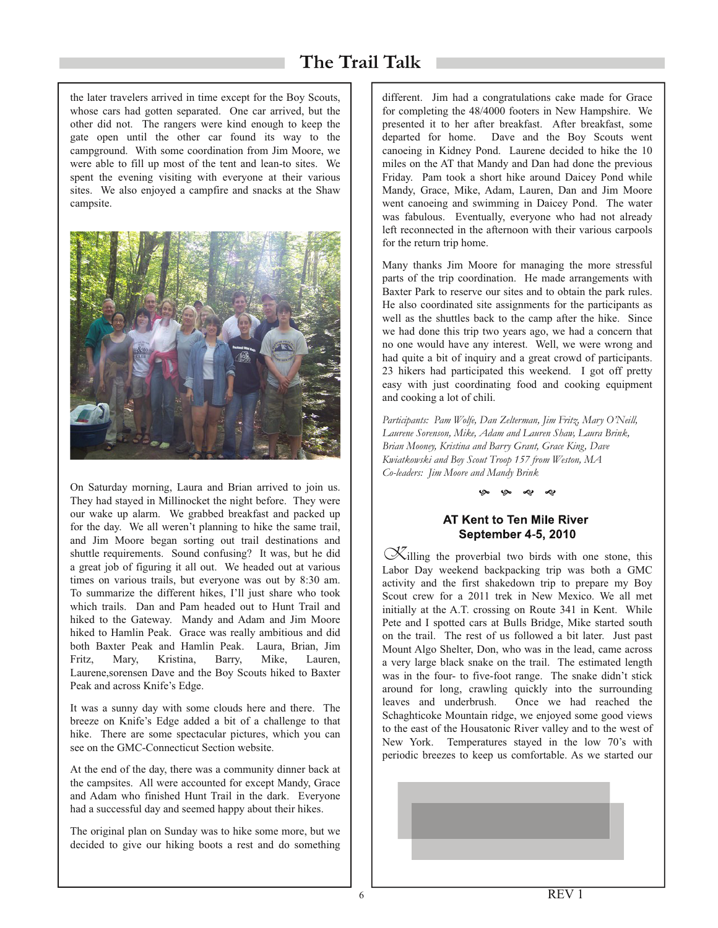the later travelers arrived in time except for the Boy Scouts, whose cars had gotten separated. One car arrived, but the other did not. The rangers were kind enough to keep the gate open until the other car found its way to the campground. With some coordination from Jim Moore, we were able to fill up most of the tent and lean-to sites. We spent the evening visiting with everyone at their various sites. We also enjoyed a campfire and snacks at the Shaw campsite.



On Saturday morning, Laura and Brian arrived to join us. They had stayed in Millinocket the night before. They were our wake up alarm. We grabbed breakfast and packed up for the day. We all weren't planning to hike the same trail, and Jim Moore began sorting out trail destinations and shuttle requirements. Sound confusing? It was, but he did a great job of figuring it all out. We headed out at various times on various trails, but everyone was out by 8:30 am. To summarize the different hikes, I'll just share who took which trails. Dan and Pam headed out to Hunt Trail and hiked to the Gateway. Mandy and Adam and Jim Moore hiked to Hamlin Peak. Grace was really ambitious and did both Baxter Peak and Hamlin Peak. Laura, Brian, Jim Fritz, Mary, Kristina, Barry, Mike, Lauren, Laurene,sorensen Dave and the Boy Scouts hiked to Baxter Peak and across Knife's Edge.

It was a sunny day with some clouds here and there. The breeze on Knife's Edge added a bit of a challenge to that hike. There are some spectacular pictures, which you can see on the GMC-Connecticut Section website.

At the end of the day, there was a community dinner back at the campsites. All were accounted for except Mandy, Grace and Adam who finished Hunt Trail in the dark. Everyone had a successful day and seemed happy about their hikes.

The original plan on Sunday was to hike some more, but we decided to give our hiking boots a rest and do something

different. Jim had a congratulations cake made for Grace for completing the 48/4000 footers in New Hampshire. We presented it to her after breakfast. After breakfast, some departed for home. Dave and the Boy Scouts went canoeing in Kidney Pond. Laurene decided to hike the 10 miles on the AT that Mandy and Dan had done the previous Friday. Pam took a short hike around Daicey Pond while Mandy, Grace, Mike, Adam, Lauren, Dan and Jim Moore went canoeing and swimming in Daicey Pond. The water was fabulous. Eventually, everyone who had not already left reconnected in the afternoon with their various carpools for the return trip home.

Many thanks Jim Moore for managing the more stressful parts of the trip coordination. He made arrangements with Baxter Park to reserve our sites and to obtain the park rules. He also coordinated site assignments for the participants as well as the shuttles back to the camp after the hike. Since we had done this trip two years ago, we had a concern that no one would have any interest. Well, we were wrong and had quite a bit of inquiry and a great crowd of participants. <sup>23</sup> hikers had participated this weekend. I got off pretty easy with just coordinating food and cooking equipment and cooking a lot of chili.

*Participants: Pam Wolfe, Dan Zelterman, Jim Fritz, Mary O'Neill, Laurene Sorenson, Mike, Adam and Lauren Shaw, Laura Brink, Brian Mooney, Kristina and Barry Grant, Grace King, Dave Kwiatkowski and Boy Scout Troop 157 from Weston, MA Co-leaders: Jim Moore and Mandy Brink*

#### ලං ලං ~හ ~හ

#### AT Kent to Ten Mile River **September 4-5, 2010**

Killing the proverbial two birds with one stone, this Labor Day weekend backpacking trip was both a GMC activity and the first shakedown trip to prepare my Boy Scout crew for a 2011 trek in New Mexico. We all met initially at the A.T. crossing on Route 341 in Kent. While Pete and I spotted cars at Bulls Bridge, Mike started south on the trail. The rest of us followed a bit later. Just past Mount Algo Shelter, Don, who was in the lead, came across a very large black snake on the trail. The estimated length was in the four- to five-foot range. The snake didn't stick around for long, crawling quickly into the surrounding leaves and underbrush. Once we had reached the Schaghticoke Mountain ridge, we enjoyed some good views to the east of the Housatonic River valley and to the west of New York. Temperatures stayed in the low 70's with periodic breezes to keep us comfortable. As we started our

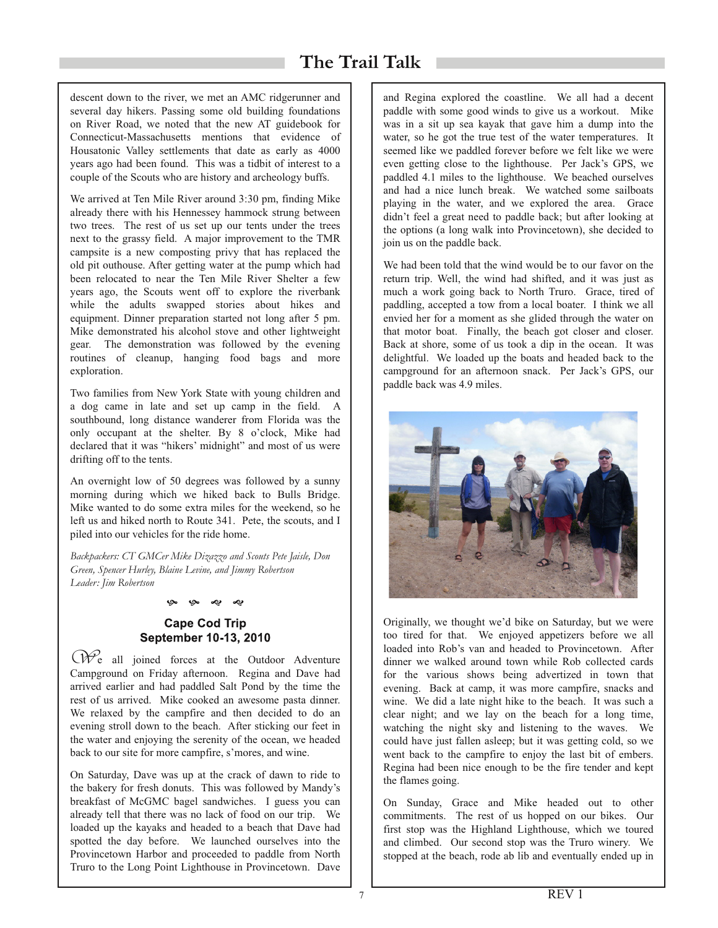descent down to the river, we met an AMC ridgerunner and several day hikers. Passing some old building foundations on River Road, we noted that the new AT guidebook for Connecticut-Massachusetts mentions that evidence of Housatonic Valley settlements that date as early as 4000 years ago had been found. This was a tidbit of interest to a couple of the Scouts who are history and archeology buffs.

We arrived at Ten Mile River around 3:30 pm, finding Mike already there with his Hennessey hammock strung between two trees. The rest of us set up our tents under the trees next to the grassy field. A major improvement to the TMR campsite is a new composting privy that has replaced the old pit outhouse. After getting water at the pump which had been relocated to near the Ten Mile River Shelter a few years ago, the Scouts went off to explore the riverbank while the adults swapped stories about hikes and equipment. Dinner preparation started not long after 5 pm. Mike demonstrated his alcohol stove and other lightweight gear. The demonstration was followed by the evening routines of cleanup, hanging food bags and more exploration.

Two families from New York State with young children and a dog came in late and set up camp in the field. A southbound, long distance wanderer from Florida was the only occupant at the shelter. By 8 o'clock, Mike had declared that it was "hikers' midnight" and most of us were drifting off to the tents.

An overnight low of 50 degrees was followed by a sunny morning during which we hiked back to Bulls Bridge. Mike wanted to do some extra miles for the weekend, so he left us and hiked north to Route 341. Pete, the scouts, and I piled into our vehicles for the ride home.

*Backpackers: CT GMCer Mike Dizazzo and Scouts Pete Jaisle, Don Green, Spencer Hurley, Blaine Levine, and Jimmy Robertson Leader: Jim Robertson*

#### ලං ලං ~හ ~හ

# **Cape Cod Trip** September 10-13, 2010

We all joined forces at the Outdoor Adventure Campground on Friday afternoon. Regina and Dave had arrived earlier and had paddled Salt Pond by the time the rest of us arrived. Mike cooked an awesome pasta dinner. We relaxed by the campfire and then decided to do an evening stroll down to the beach. After sticking our feet in the water and enjoying the serenity of the ocean, we headed back to our site for more campfire, s'mores, and wine.

On Saturday, Dave was up at the crack of dawn to ride to the bakery for fresh donuts. This was followed by Mandy's breakfast of McGMC bagel sandwiches. I guess you can already tell that there was no lack of food on our trip. We loaded up the kayaks and headed to a beach that Dave had spotted the day before. We launched ourselves into the Provincetown Harbor and proceeded to paddle from North Truro to the Long Point Lighthouse in Provincetown. Dave

and Regina explored the coastline. We all had a decent paddle with some good winds to give us a workout. Mike was in a sit up sea kayak that gave him a dump into the water, so he got the true test of the water temperatures. It seemed like we paddled forever before we felt like we were even getting close to the lighthouse. Per Jack's GPS, we paddled 4.1 miles to the lighthouse. We beached ourselves and had a nice lunch break. We watched some sailboats playing in the water, and we explored the area. Grace didn't feel a great need to paddle back; but after looking at the options (a long walk into Provincetown), she decided to join us on the paddle back.

We had been told that the wind would be to our favor on the return trip. Well, the wind had shifted, and it was just as much a work going back to North Truro. Grace, tired of paddling, accepted a tow from a local boater. I think we all envied her for a moment as she glided through the water on that motor boat. Finally, the beach got closer and closer. Back at shore, some of us took a dip in the ocean. It was delightful. We loaded up the boats and headed back to the campground for an afternoon snack. Per Jack's GPS, our paddle back was 4.9 miles.



Originally, we thought we'd bike on Saturday, but we were too tired for that. We enjoyed appetizers before we all loaded into Rob's van and headed to Provincetown. After dinner we walked around town while Rob collected cards for the various shows being advertized in town that evening. Back at camp, it was more campfire, snacks and wine. We did a late night hike to the beach. It was such a clear night; and we lay on the beach for a long time, watching the night sky and listening to the waves. We could have just fallen asleep; but it was getting cold, so we went back to the campfire to enjoy the last bit of embers. Regina had been nice enough to be the fire tender and kept the flames going.

On Sunday, Grace and Mike headed out to other commitments. The rest of us hopped on our bikes. Our first stop was the Highland Lighthouse, which we toured and climbed. Our second stop was the Truro winery. We stopped at the beach, rode ab lib and eventually ended up in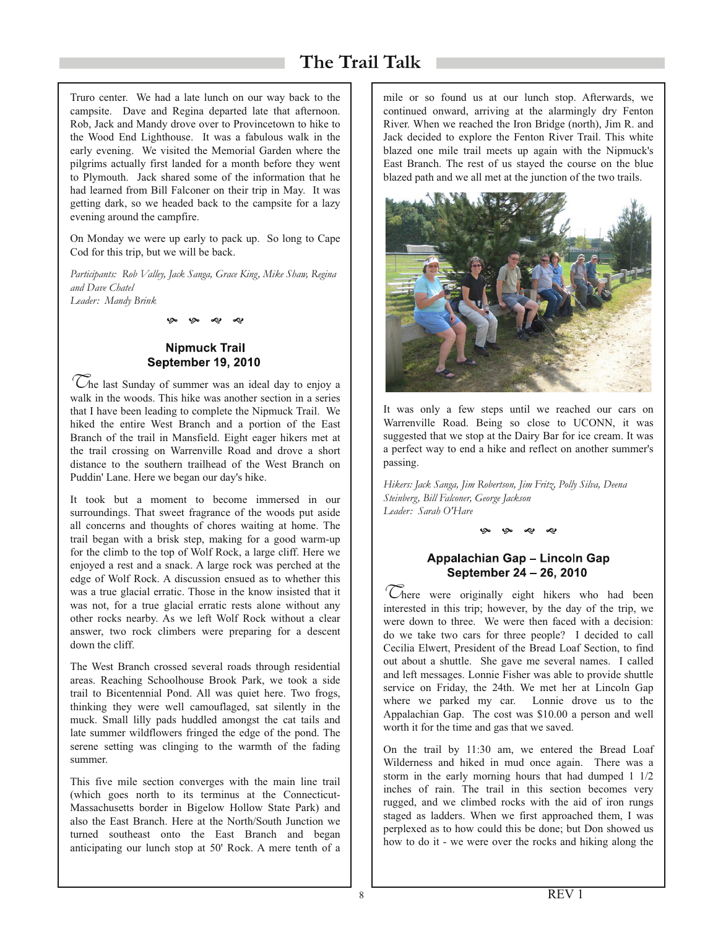Truro center. We had a late lunch on our way back to the campsite. Dave and Regina departed late that afternoon. Rob, Jack and Mandy drove over to Provincetown to hike to the Wood End Lighthouse. It was a fabulous walk in the early evening. We visited the Memorial Garden where the pilgrims actually first landed for a month before they went to Plymouth. Jack shared some of the information that he had learned from Bill Falconer on their trip in May. It was getting dark, so we headed back to the campsite for a lazy evening around the campfire.

On Monday we were up early to pack up. So long to Cape Cod for this trip, but we will be back.

*Participants: Rob Valley, Jack Sanga, Grace King, Mike Shaw, Regina and Dave Chatel Leader: Mandy Brink*

به به مې م

# **Nipmuck Trail September 19, 2010**

 $^{\circ}$ Che last Sunday of summer was an ideal day to enjoy a walk in the woods. This hike was another section in a series that I have been leading to complete the Nipmuck Trail. We hiked the entire West Branch and a portion of the East Branch of the trail in Mansfield. Eight eager hikers met at the trail crossing on Warrenville Road and drove a short distance to the southern trailhead of the West Branch on Puddin' Lane. Here we began our day's hike.

It took but a moment to become immersed in our surroundings. That sweet fragrance of the woods put aside all concerns and thoughts of chores waiting at home. The trail began with a brisk step, making for a good warm-up for the climb to the top of Wolf Rock, a large cliff. Here we enjoyed a rest and a snack. A large rock was perched at the edge of Wolf Rock. A discussion ensued as to whether this was a true glacial erratic. Those in the know insisted that it was not, for a true glacial erratic rests alone without any other rocks nearby. As we left Wolf Rock without a clear answer, two rock climbers were preparing for a descent down the cliff.

The West Branch crossed several roads through residential areas. Reaching Schoolhouse Brook Park, we took a side trail to Bicentennial Pond. All was quiet here. Two frogs, thinking they were well camouflaged, sat silently in the muck. Small lilly pads huddled amongst the cat tails and late summer wildflowers fringed the edge of the pond. The serene setting was clinging to the warmth of the fading summer.

This five mile section converges with the main line trail (which goes north to its terminus at the Connecticut-Massachusetts border in Bigelow Hollow State Park) and also the East Branch. Here at the North/South Junction we turned southeast onto the East Branch and began anticipating our lunch stop at 50' Rock. A mere tenth of a

mile or so found us at our lunch stop. Afterwards, we continued onward, arriving at the alarmingly dry Fenton River. When we reached the Iron Bridge (north), Jim R. and Jack decided to explore the Fenton River Trail. This white blazed one mile trail meets up again with the Nipmuck's East Branch. The rest of us stayed the course on the blue blazed path and we all met at the junction of the two trails.



It was only a few steps until we reached our cars on Warrenville Road. Being so close to UCONN, it was suggested that we stop at the Dairy Bar for ice cream. It was a perfect way to end a hike and reflect on another summer's passing.

*Hikers: Jack Sanga, Jim Robertson, Jim Fritz, Polly Silva, Deena Steinberg, Bill Falconer, George Jackson Leader: Sarah O'Hare*

# Appalachian Gap - Lincoln Gap September 24 - 26, 2010

∞

There were originally eight hikers who had been interested in this trip; however, by the day of the trip, we were down to three. We were then faced with a decision: do we take two cars for three people? I decided to call Cecilia Elwert, President of the Bread Loaf Section, to find out about a shuttle. She gave me several names. I called and left messages. Lonnie Fisher was able to provide shuttle service on Friday, the 24th. We met her at Lincoln Gap where we parked my car. Lonnie drove us to the Appalachian Gap. The cost was \$10.00 a person and well worth it for the time and gas that we saved.

On the trail by 11:30 am, we entered the Bread Loaf Wilderness and hiked in mud once again. There was a storm in the early morning hours that had dumped 1 1/2 inches of rain. The trail in this section becomes very rugged, and we climbed rocks with the aid of iron rungs staged as ladders. When we first approached them, I was perplexed as to how could this be done; but Don showed us how to do it - we were over the rocks and hiking along the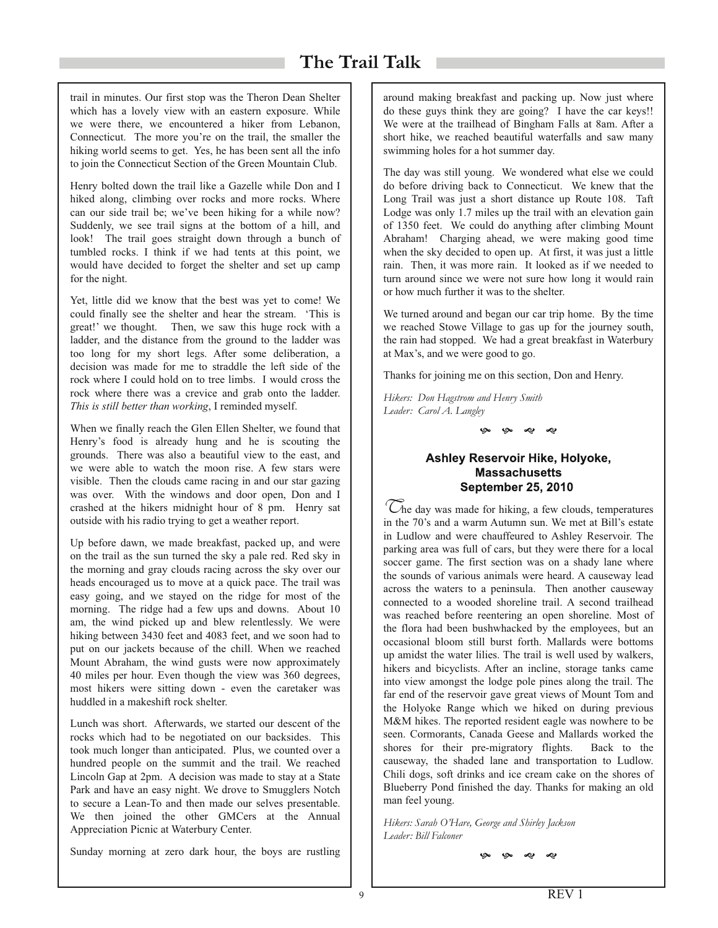trail in minutes. Our first stop was the Theron Dean Shelter which has a lovely view with an eastern exposure. While we were there, we encountered a hiker from Lebanon, Connecticut. The more you're on the trail, the smaller the hiking world seems to get. Yes, he has been sent all the info to join the Connecticut Section of the Green Mountain Club.

Henry bolted down the trail like a Gazelle while Don and I hiked along, climbing over rocks and more rocks. Where can our side trail be; we've been hiking for a while now? Suddenly, we see trail signs at the bottom of a hill, and look! The trail goes straight down through a bunch of tumbled rocks. I think if we had tents at this point, we would have decided to forget the shelter and set up camp for the night.

Yet, little did we know that the best was yet to come! We could finally see the shelter and hear the stream. 'This is great!' we thought. Then, we saw this huge rock with a ladder, and the distance from the ground to the ladder was too long for my short legs. After some deliberation, a decision was made for me to straddle the left side of the rock where I could hold on to tree limbs. I would cross the rock where there was a crevice and grab onto the ladder. *This is still better than working*, I reminded myself.

When we finally reach the Glen Ellen Shelter, we found that Henry's food is already hung and he is scouting the grounds. There was also a beautiful view to the east, and we were able to watch the moon rise. A few stars were visible. Then the clouds came racing in and our star gazing was over. With the windows and door open, Don and I crashed at the hikers midnight hour of 8 pm. Henry sat outside with his radio trying to get a weather report.

Up before dawn, we made breakfast, packed up, and were on the trail as the sun turned the sky a pale red. Red sky in the morning and gray clouds racing across the sky over our heads encouraged us to move at a quick pace. The trail was easy going, and we stayed on the ridge for most of the morning. The ridge had a few ups and downs. About 10 am, the wind picked up and blew relentlessly. We were hiking between 3430 feet and 4083 feet, and we soon had to put on our jackets because of the chill. When we reached Mount Abraham, the wind gusts were now approximately <sup>40</sup> miles per hour. Even though the view was 360 degrees, most hikers were sitting down - even the caretaker was huddled in a makeshift rock shelter.

Lunch was short. Afterwards, we started our descent of the rocks which had to be negotiated on our backsides. This took much longer than anticipated. Plus, we counted over a hundred people on the summit and the trail. We reached Lincoln Gap at 2pm. A decision was made to stay at a State Park and have an easy night. We drove to Smugglers Notch to secure a Lean-To and then made our selves presentable. We then joined the other GMCers at the Annual Appreciation Picnic at Waterbury Center.

Sunday morning at zero dark hour, the boys are rustling

around making breakfast and packing up. Now just where do these guys think they are going? I have the car keys!! We were at the trailhead of Bingham Falls at 8am. After a short hike, we reached beautiful waterfalls and saw many swimming holes for a hot summer day.

The day was still young. We wondered what else we could do before driving back to Connecticut. We knew that the Long Trail was just a short distance up Route 108. Taft Lodge was only 1.7 miles up the trail with an elevation gain of 1350 feet. We could do anything after climbing Mount Abraham! Charging ahead, we were making good time when the sky decided to open up. At first, it was just a little rain. Then, it was more rain. It looked as if we needed to turn around since we were not sure how long it would rain or how much further it was to the shelter.

We turned around and began our car trip home. By the time we reached Stowe Village to gas up for the journey south, the rain had stopped. We had a great breakfast in Waterbury at Max's, and we were good to go.

Thanks for joining me on this section, Don and Henry.

*Hikers: Don Hagstrom and Henry Smith Leader: Carol A. Langley*

بهہ بهہ میں می

### Ashley Reservoir Hike, Holyoke, **Massachusetts September 25, 2010**

 $^{\circ}$ Che day was made for hiking, a few clouds, temperatures in the 70's and a warm Autumn sun. We met at Bill's estate in Ludlow and were chauffeured to Ashley Reservoir. The parking area was full of cars, but they were there for a local soccer game. The first section was on a shady lane where the sounds of various animals were heard. A causeway lead across the waters to a peninsula. Then another causeway connected to a wooded shoreline trail. A second trailhead was reached before reentering an open shoreline. Most of the flora had been bushwhacked by the employees, but an occasional bloom still burst forth. Mallards were bottoms up amidst the water lilies. The trail is well used by walkers, hikers and bicyclists. After an incline, storage tanks came into view amongst the lodge pole pines along the trail. The far end of the reservoir gave great views of Mount Tom and the Holyoke Range which we hiked on during previous M&M hikes. The reported resident eagle was nowhere to be seen. Cormorants, Canada Geese and Mallards worked the shores for their pre-migratory flights. Back to the causeway, the shaded lane and transportation to Ludlow. Chili dogs, soft drinks and ice cream cake on the shores of Blueberry Pond finished the day. Thanks for making an old man feel young.

*Hikers: Sarah O'Hare, George and Shirley Jackson Leader: Bill Falconer*

ලං ලං ~ා ~ා